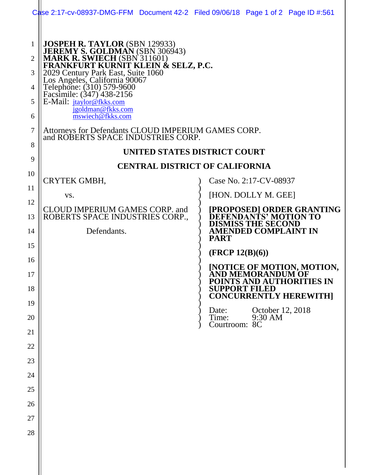|                                       | Case 2:17-cv-08937-DMG-FFM Document 42-2 Filed 09/06/18 Page 1 of 2 Page ID #:561                                                                                                                                                                                                                                        |                                                                                |
|---------------------------------------|--------------------------------------------------------------------------------------------------------------------------------------------------------------------------------------------------------------------------------------------------------------------------------------------------------------------------|--------------------------------------------------------------------------------|
| $\mathbf{1}$<br>2<br>3<br>4<br>5<br>6 | JOSPEH R. TAYLOR (SBN 129933)<br>JEREMY S. GOLDMAN (SBN 306943)<br>MARK R. SWIECH (SBN 311601)<br>FRANKFURT KURNIT KLEIN & SELZ, P.C.<br>2029 Century Park East, Suite 1060<br>Los Angeles, California 90067<br>Telephone: (310) 579-9600<br>Facsim<br>E-Mail: jtaylor@fkks.com<br>jgoldman@fkks.com<br>mswiech@fkks.com |                                                                                |
| 7                                     | Attorneys for Defendants CLOUD IMPERIUM GAMES CORP.<br>and ROBERTS SPACE INDUSTRIES CORP.                                                                                                                                                                                                                                |                                                                                |
| 8<br>9                                | UNITED STATES DISTRICT COURT                                                                                                                                                                                                                                                                                             |                                                                                |
| 10                                    | <b>CENTRAL DISTRICT OF CALIFORNIA</b>                                                                                                                                                                                                                                                                                    |                                                                                |
| 11                                    | CRYTEK GMBH,                                                                                                                                                                                                                                                                                                             | Case No. 2:17-CV-08937                                                         |
| 12                                    | VS.                                                                                                                                                                                                                                                                                                                      | [HON. DOLLY M. GEE]                                                            |
| 13                                    | <b>CLOUD IMPERIUM GAMES CORP. and</b><br>ROBERTS SPACE INDUSTRIES CORP.,                                                                                                                                                                                                                                                 | [PROPOSED] ORDER GRANTING<br>EFENDANTS' MOTION TO<br><b>DISMISS THE SECOND</b> |
| 14                                    | Defendants.                                                                                                                                                                                                                                                                                                              | <b>AMENDED COMPLAINT IN</b><br><b>PART</b>                                     |
| 15                                    |                                                                                                                                                                                                                                                                                                                          | (FRCP 12(B)(6))                                                                |
| 16                                    |                                                                                                                                                                                                                                                                                                                          | <b>[NOTICE OF MOTION, MOTION,</b>                                              |
| 17<br>18                              |                                                                                                                                                                                                                                                                                                                          | AND MEMORANDUM OF<br>POINTS AND AUTHORITIES IN<br><b>SUPPORT FILED</b>         |
| 19                                    |                                                                                                                                                                                                                                                                                                                          | <b>CONCURRENTLY HEREWITH]</b>                                                  |
| 20                                    |                                                                                                                                                                                                                                                                                                                          | October 12, 2018<br>Date:<br>9:30 AM<br>Time:<br>Courtroom: 8C                 |
| 21                                    |                                                                                                                                                                                                                                                                                                                          |                                                                                |
| 22                                    |                                                                                                                                                                                                                                                                                                                          |                                                                                |
| 23                                    |                                                                                                                                                                                                                                                                                                                          |                                                                                |
| 24                                    |                                                                                                                                                                                                                                                                                                                          |                                                                                |
| 25                                    |                                                                                                                                                                                                                                                                                                                          |                                                                                |
| 26                                    |                                                                                                                                                                                                                                                                                                                          |                                                                                |
| 27<br>28                              |                                                                                                                                                                                                                                                                                                                          |                                                                                |
|                                       |                                                                                                                                                                                                                                                                                                                          |                                                                                |
|                                       |                                                                                                                                                                                                                                                                                                                          |                                                                                |